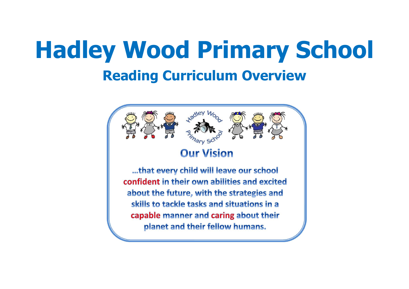# **Hadley Wood Primary School Reading Curriculum Overview**

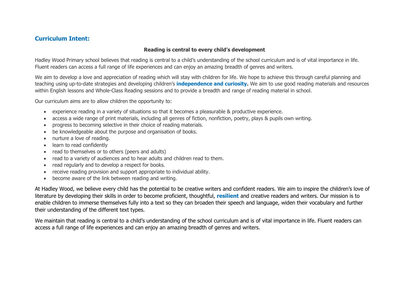## **Curriculum Intent:**

#### **Reading is central to every child's development**

Hadley Wood Primary school believes that reading is central to a child's understanding of the school curriculum and is of vital importance in life. Fluent readers can access a full range of life experiences and can enjoy an amazing breadth of genres and writers.

We aim to develop a love and appreciation of reading which will stay with children for life. We hope to achieve this through careful planning and teaching using up-to-date strategies and developing children's **independence and curiosity.** We aim to use good reading materials and resources within English lessons and Whole-Class Reading sessions and to provide a breadth and range of reading material in school.

Our curriculum aims are to allow children the opportunity to:

- experience reading in a variety of situations so that it becomes a pleasurable & productive experience.
- access a wide range of print materials, including all genres of fiction, nonfiction, poetry, plays & pupils own writing.
- progress to becoming selective in their choice of reading materials.
- be knowledgeable about the purpose and organisation of books.
- nurture a love of reading.
- learn to read confidently
- read to themselves or to others (peers and adults)
- read to a variety of audiences and to hear adults and children read to them.
- read regularly and to develop a respect for books.
- receive reading provision and support appropriate to individual ability.
- become aware of the link between reading and writing.

At Hadley Wood, we believe every child has the potential to be creative writers and confident readers. We aim to inspire the children's love of literature by developing their skills in order to become proficient, thoughtful, **resilient** and creative readers and writers. Our mission is to enable children to immerse themselves fully into a text so they can broaden their speech and language, widen their vocabulary and further their understanding of the different text types.

We maintain that reading is central to a child's understanding of the school curriculum and is of vital importance in life. Fluent readers can access a full range of life experiences and can enjoy an amazing breadth of genres and writers.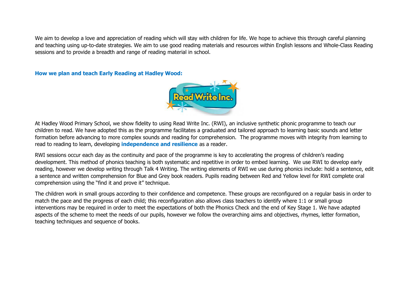We aim to develop a love and appreciation of reading which will stay with children for life. We hope to achieve this through careful planning and teaching using up-to-date strategies. We aim to use good reading materials and resources within English lessons and Whole-Class Reading sessions and to provide a breadth and range of reading material in school.

**How we plan and teach Early Reading at Hadley Wood:** 



At Hadley Wood Primary School, we show fidelity to using Read Write Inc. (RWI), an inclusive synthetic phonic programme to teach our children to read. We have adopted this as the programme facilitates a graduated and tailored approach to learning basic sounds and letter formation before advancing to more complex sounds and reading for comprehension. The programme moves with integrity from learning to read to reading to learn, developing **independence and resilience** as a reader.

RWI sessions occur each day as the continuity and pace of the programme is key to accelerating the progress of children's reading development. This method of phonics teaching is both systematic and repetitive in order to embed learning. We use RWI to develop early reading, however we develop writing through Talk 4 Writing. The writing elements of RWI we use during phonics include: hold a sentence, edit a sentence and written comprehension for Blue and Grey book readers. Pupils reading between Red and Yellow level for RWI complete oral comprehension using the "find it and prove it" technique.

The children work in small groups according to their confidence and competence. These groups are reconfigured on a regular basis in order to match the pace and the progress of each child; this reconfiguration also allows class teachers to identify where 1:1 or small group interventions may be required in order to meet the expectations of both the Phonics Check and the end of Key Stage 1. We have adapted aspects of the scheme to meet the needs of our pupils, however we follow the overarching aims and objectives, rhymes, letter formation, teaching techniques and sequence of books.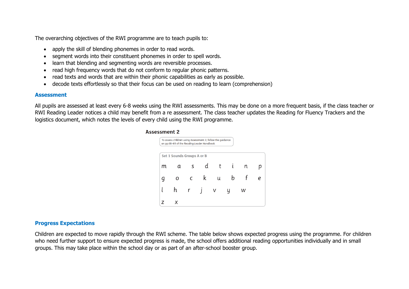The overarching objectives of the RWI programme are to teach pupils to:

- apply the skill of blending phonemes in order to read words.
- segment words into their constituent phonemes in order to spell words.
- learn that blending and segmenting words are reversible processes.
- read high frequency words that do not conform to regular phonic patterns.
- read texts and words that are within their phonic capabilities as early as possible.
- decode texts effortlessly so that their focus can be used on reading to learn (comprehension)

#### **Assessment**

All pupils are assessed at least every 6-8 weeks using the RWI assessments. This may be done on a more frequent basis, if the class teacher or RWI Reading Leader notices a child may benefit from a re assessment. The class teacher updates the Reading for Fluency Trackers and the logistics document, which notes the levels of every child using the RWI programme.

#### **Assessment 2**



### **Progress Expectations**

Children are expected to move rapidly through the RWI scheme. The table below shows expected progress using the programme. For children who need further support to ensure expected progress is made, the school offers additional reading opportunities individually and in small groups. This may take place within the school day or as part of an after-school booster group.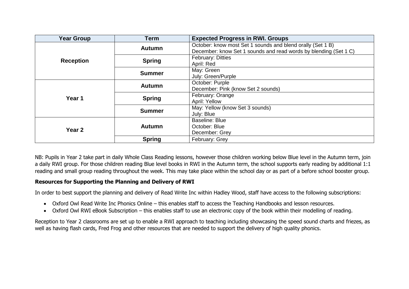| <b>Year Group</b> | <b>Term</b>   | <b>Expected Progress in RWI. Groups</b>                                                                                        |  |  |
|-------------------|---------------|--------------------------------------------------------------------------------------------------------------------------------|--|--|
|                   | <b>Autumn</b> | October: know most Set 1 sounds and blend orally (Set 1 B)<br>December: know Set 1 sounds and read words by blending (Set 1 C) |  |  |
| <b>Reception</b>  | <b>Spring</b> | <b>February: Ditties</b><br>April: Red                                                                                         |  |  |
|                   | <b>Summer</b> | May: Green<br>July: Green/Purple                                                                                               |  |  |
| Year 1            | <b>Autumn</b> | October: Purple<br>December: Pink (know Set 2 sounds)                                                                          |  |  |
|                   | <b>Spring</b> | February: Orange<br>April: Yellow                                                                                              |  |  |
|                   | <b>Summer</b> | May: Yellow (know Set 3 sounds)<br>July: Blue                                                                                  |  |  |
| Year <sub>2</sub> | <b>Autumn</b> | Baseline: Blue<br>October: Blue<br>December: Grey                                                                              |  |  |
|                   | <b>Spring</b> | February: Grey                                                                                                                 |  |  |

NB: Pupils in Year 2 take part in daily Whole Class Reading lessons, however those children working below Blue level in the Autumn term, join a daily RWI group. For those children reading Blue level books in RWI in the Autumn term, the school supports early reading by additional 1:1 reading and small group reading throughout the week. This may take place within the school day or as part of a before school booster group.

### **Resources for Supporting the Planning and Delivery of RWI**

In order to best support the planning and delivery of Read Write Inc within Hadley Wood, staff have access to the following subscriptions:

- Oxford Owl Read Write Inc Phonics Online this enables staff to access the Teaching Handbooks and lesson resources.
- Oxford Owl RWI eBook Subscription this enables staff to use an electronic copy of the book within their modelling of reading.

Reception to Year 2 classrooms are set up to enable a RWI approach to teaching including showcasing the speed sound charts and friezes, as well as having flash cards, Fred Frog and other resources that are needed to support the delivery of high quality phonics.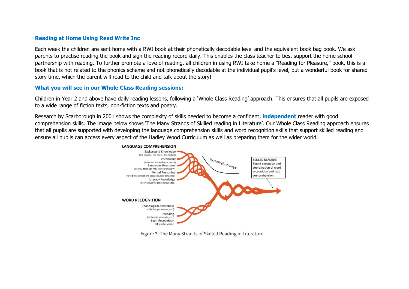#### **Reading at Home Using Read Write Inc**

Each week the children are sent home with a RWI book at their phonetically decodable level and the equivalent book bag book. We ask parents to practise reading the book and sign the reading record daily. This enables the class teacher to best support the home school partnership with reading. To further promote a love of reading, all children in using RWI take home a "Reading for Pleasure," book, this is a book that is not related to the phonics scheme and not phonetically decodable at the individual pupil's level, but a wonderful book for shared story time, which the parent will read to the child and talk about the story!

#### **What you will see in our Whole Class Reading sessions:**

Children in Year 2 and above have daily reading lessons, following a 'Whole Class Reading' approach. This ensures that all pupils are exposed to a wide range of fiction texts, non-fiction texts and poetry.

Research by Scarborough in 2001 shows the complexity of skills needed to become a confident, **independent** reader with good comprehension skills. The image below shows 'The Many Strands of Skilled reading in Literature'. Our Whole Class Reading approach ensures that all pupils are supported with developing the language comprehension skills and word recognition skills that support skilled reading and ensure all pupils can access every aspect of the Hadley Wood Curriculum as well as preparing them for the wider world.



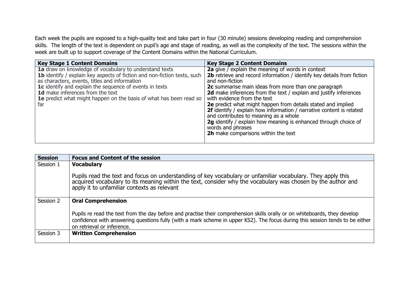Each week the pupils are exposed to a high-quality text and take part in four (30 minute) sessions developing reading and comprehension skills. The length of the text is dependent on pupil's age and stage of reading, as well as the complexity of the text. The sessions within the week are built up to support coverage of the Content Domains within the National Curriculum.

| <b>Key Stage 1 Content Domains</b>                                              | <b>Key Stage 2 Content Domains</b>                                     |
|---------------------------------------------------------------------------------|------------------------------------------------------------------------|
| 1a draw on knowledge of vocabulary to understand texts                          | 2a give / explain the meaning of words in context                      |
| <b>1b</b> identify / explain key aspects of fiction and non-fiction texts, such | 2b retrieve and record information / identify key details from fiction |
| as characters, events, titles and information                                   | and non-fiction                                                        |
| 1c identify and explain the sequence of events in texts                         | 2c summarise main ideas from more than one paragraph                   |
| 1d make inferences from the text                                                | 2d make inferences from the text / explain and justify inferences      |
| <b>1e</b> predict what might happen on the basis of what has been read so       | with evidence from the text                                            |
| far                                                                             | 2e predict what might happen from details stated and implied           |
|                                                                                 | 2f identify / explain how information / narrative content is related   |
|                                                                                 | and contributes to meaning as a whole                                  |
|                                                                                 | 2g identify / explain how meaning is enhanced through choice of        |
|                                                                                 | words and phrases                                                      |
|                                                                                 | 2h make comparisons within the text                                    |
|                                                                                 |                                                                        |

| <b>Session</b> | <b>Focus and Content of the session</b>                                                                                                                                                                                                                                                   |
|----------------|-------------------------------------------------------------------------------------------------------------------------------------------------------------------------------------------------------------------------------------------------------------------------------------------|
| Session 1      | <b>Vocabulary</b>                                                                                                                                                                                                                                                                         |
|                | Pupils read the text and focus on understanding of key vocabulary or unfamiliar vocabulary. They apply this<br>acquired vocabulary to its meaning within the text, consider why the vocabulary was chosen by the author and<br>apply it to unfamiliar contexts as relevant                |
| Session 2      | <b>Oral Comprehension</b>                                                                                                                                                                                                                                                                 |
|                | Pupils re read the text from the day before and practise their comprehension skills orally or on whiteboards, they develop<br>confidence with answering questions fully (with a mark scheme in upper KS2). The focus during this session tends to be either<br>on retrieval or inference. |
| Session 3      | <b>Written Comprehension</b>                                                                                                                                                                                                                                                              |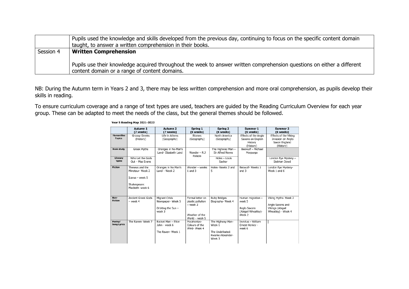|           | Pupils used the knowledge and skills developed from the previous day, continuing to focus on the specific content domain<br>taught, to answer a written comprehension in their books. |  |  |  |  |  |
|-----------|---------------------------------------------------------------------------------------------------------------------------------------------------------------------------------------|--|--|--|--|--|
| Session 4 | <b>Written Comprehension</b>                                                                                                                                                          |  |  |  |  |  |
|           | Pupils use their knowledge acquired throughout the week to answer written comprehension questions on either a different<br>content domain or a range of content domains.              |  |  |  |  |  |

NB: During the Autumn term in Years 2 and 3, there may be less written comprehension and more oral comprehension, as pupils develop their skills in reading.

To ensure curriculum coverage and a range of text types are used, teachers are guided by the Reading Curriculum Overview for each year group. These can be adapted to meet the needs of the class, but the general themes should be followed.

|                                    | Autumn 1<br>(7 weeks)                                                                       | Autumn <sub>2</sub><br>(7 weeks)                                           | Spring 1<br>(6 weeks)                                                                 | Spring 2<br>(6 weeks)                                                       | Summer 1<br>(6 weeks)                                                        | Summer 2<br>(6 weeks)                                                              |
|------------------------------------|---------------------------------------------------------------------------------------------|----------------------------------------------------------------------------|---------------------------------------------------------------------------------------|-----------------------------------------------------------------------------|------------------------------------------------------------------------------|------------------------------------------------------------------------------------|
| <b>Humanities</b><br><b>Topics</b> | Groovy Greeks<br>(History)                                                                  | Life in Athens<br>(Geography)                                              | <b>Biomes</b><br>(Geography)                                                          | North America<br>(Geography)                                                | Effects of the Anglo<br>Saxons on English<br>History<br>(History)            | <b>Effects of the Viking</b><br>Invasion on Anglo<br>Saxon England<br>(History)    |
| <b>Book study</b>                  | <b>Greek Myths</b>                                                                          | Oranges in No-Man's<br>Land- Elizabeth Laird                               | Wonder $-$ R.J.<br>Palacio                                                            | The Highway Man -<br>Sir Alfred Noves                                       | Beowulf - Michael<br>Morpurgo                                                |                                                                                    |
| Literary<br>`Spine                 | Who Let the Gods<br>Out - Maz Evans                                                         |                                                                            |                                                                                       | Holes - Louis<br>Sachar                                                     |                                                                              | London Eye Mystery -<br>Siobhan Dowd                                               |
| <b>Fiction</b>                     | Theseus and the<br>Minotaur- Week 2<br>$Tcarus - week 5$<br>Shakespeare:<br>Macheth- week 6 | Oranges in No Man's<br>Land - Week 2                                       | Wonder - weeks<br>$1$ and $3$                                                         | Holes- Weeks 2 and<br>5                                                     | Beowulf- Weeks 1<br>and 3                                                    | London Eye Mystery-<br>Week 1 and 6                                                |
| Non-<br><b>Fiction</b>             | Ancient Greek Gods<br>$-$ week 4                                                            | <b>Migrant Crisis</b><br>Newspaper- Week 5<br>Orbiting the Sun -<br>week 3 | Formal letter on<br>plastic pollution<br>- week 2<br>Weather of the<br>World - week 5 | <b>Ruby Bridges</b><br>Biography- Week 4                                    | Human migration -<br>week 5<br>Anglo Saxons<br>(Abigail Wheatley)-<br>Week 2 | Viking Myths- Week 2<br>Anglo Saxons and<br>Vikings (Abigail<br>Wheatley) - Week 4 |
| Poetry/<br><b>Song Lyrics</b>      | The Raven- Week 7                                                                           | Rocket Man - Elton<br>John - week 6<br>The Raven- Week 1                   | Pocahontas-<br>Colours of the<br>Wind-Week 4                                          | The Highway Man-<br>Week 1<br>The Undefeated:<br>Kwame Alexander-<br>Week 3 | Invictus - William<br>Ernest Henley -<br>week 6                              |                                                                                    |

#### Year 5 Reading Map 2021-2022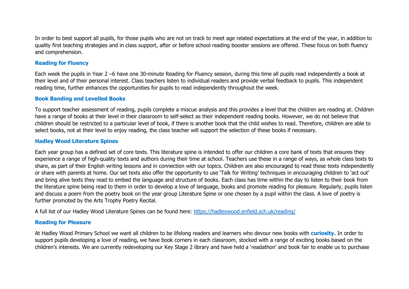In order to best support all pupils, for those pupils who are not on track to meet age related expectations at the end of the year, in addition to quality first teaching strategies and in class support, after or before school reading booster sessions are offered. These focus on both fluency and comprehension.

#### **Reading for Fluency**

Each week the pupils in Year 2 –6 have one 30-minute Reading for Fluency session, during this time all pupils read independently a book at their level and of their personal interest. Class teachers listen to individual readers and provide verbal feedback to pupils. This independent reading time, further enhances the opportunities for pupils to read independently throughout the week.

#### **Book Banding and Levelled Books**

To support teacher assessment of reading, pupils complete a miscue analysis and this provides a level that the children are reading at. Children have a range of books at their level in their classroom to self-select as their independent reading books. However, we do not believe that children should be restricted to a particular level of book, if there is another book that the child wishes to read. Therefore, children are able to select books, not at their level to enjoy reading, the class teacher will support the selection of these books if necessary.

#### **Hadley Wood Literature Spines**

Each year group has a defined set of core texts. This literature spine is intended to offer our children a core bank of texts that ensures they experience a range of high-quality texts and authors during their time at school. Teachers use these in a range of ways, as whole class texts to share, as part of their English writing lessons and in connection with our topics. Children are also encouraged to read these texts independently or share with parents at home. Our set texts also offer the opportunity to use 'Talk for Writing' techniques in encouraging children to 'act out' and bring alive texts they read to embed the language and structure of books. Each class has time within the day to listen to their book from the literature spine being read to them in order to develop a love of language, books and promote reading for pleasure. Regularly, pupils listen and discuss a poem from the poetry book on the year group Literature Spine or one chosen by a pupil within the class. A love of poetry is further promoted by the Arts Trophy Poetry Recital.

A full list of our Hadley Wood Literature Spines can be found here:<https://hadleywood.enfield.sch.uk/reading/>

#### **Reading for Pleasure**

At Hadley Wood Primary School we want all children to be lifelong readers and learners who devour new books with **curiosity.** In order to support pupils developing a love of reading, we have book corners in each classroom, stocked with a range of exciting books based on the children's interests. We are currently redeveloping our Key Stage 2 library and have held a 'readathon' and book fair to enable us to purchase